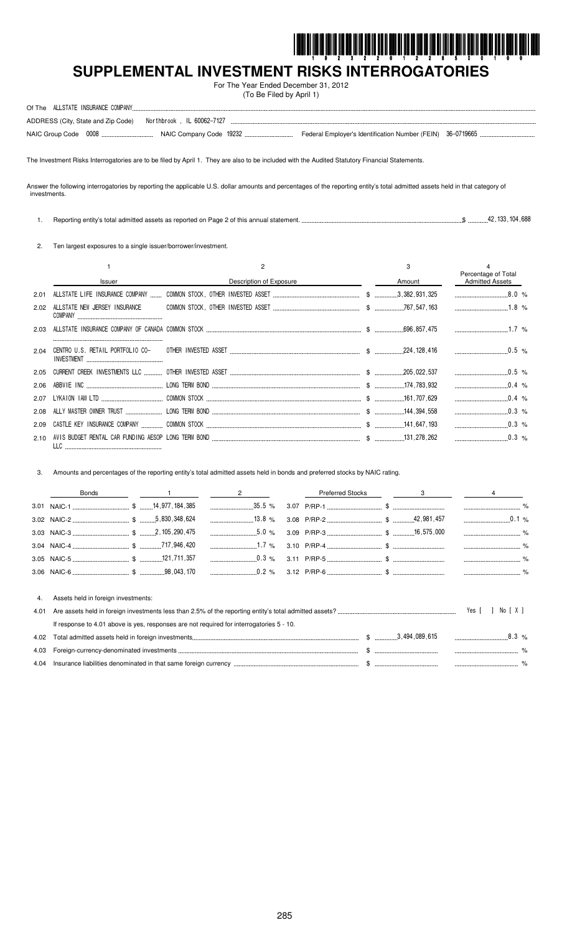

# SUPPLEMENTAL INVESTMENT RISKS INTERROGATORIES

For The Year Ended December 31, 2012 (To Be Filed by April 1)

|  | ADDRESS (City, State and Zip Code) Northbrook, IL 60062-7127 |  |  |
|--|--------------------------------------------------------------|--|--|
|  |                                                              |  |  |

The Investment Risks Interrogatories are to be filed by April 1. They are also to be included with the Audited Statutory Financial Statements.

Answer the following interrogatories by reporting the applicable U.S. dollar amounts and percentages of the reporting entity's total admitted assets held in that category of investments.

 $\$\$  ... 42, 133, 104, 688 1. Reporting entity's total admitted assets as reported on Page 2 of this annual statement...

2. Ten largest exposures to a single issuer/borrower/investment.

|      |                               |                         | 3      |                                               |
|------|-------------------------------|-------------------------|--------|-----------------------------------------------|
|      | <b>Issuer</b>                 | Description of Exposure | Amount | Percentage of Total<br><b>Admitted Assets</b> |
| 2.01 |                               |                         |        |                                               |
| 2.02 | ALLSTATE NEW JERSEY INSURANCE |                         |        |                                               |
| 2.03 |                               |                         |        |                                               |
| 2.04 |                               |                         |        |                                               |
|      |                               |                         |        | $\sim$ 0.5 %                                  |
| 2.06 |                               |                         |        | $0.4\%$                                       |
| 2.07 |                               |                         |        | $0.4\%$                                       |
| 2.08 |                               |                         |        | $0.3\%$                                       |
| 2.09 |                               |                         |        | $\ldots$ 0.3 %                                |
| 2.10 |                               |                         |        | $0.3\%$                                       |

3. Amounts and percentages of the reporting entity's total admitted assets held in bonds and preferred stocks by NAIC rating.

|      | Bonds                                                                                     | $\frac{1}{2}$ and $\frac{2}{2}$ |  | Preferred Stocks 3 |  |
|------|-------------------------------------------------------------------------------------------|---------------------------------|--|--------------------|--|
|      |                                                                                           |                                 |  |                    |  |
|      |                                                                                           |                                 |  |                    |  |
|      |                                                                                           |                                 |  |                    |  |
|      |                                                                                           |                                 |  |                    |  |
|      |                                                                                           |                                 |  |                    |  |
|      |                                                                                           |                                 |  |                    |  |
| 4.   | Assets held in foreign investments:                                                       |                                 |  |                    |  |
| 4.01 |                                                                                           |                                 |  |                    |  |
|      | If response to 4.01 above is vest responses are not required for interrogatories $5 - 10$ |                                 |  |                    |  |

| IT LESPOITSE TO 4.0 LADOVE IS VES, LESPOITSES ALE HOL LEGUILED TOF ILITERTOGRIOLIES J.F. TV. |                  |           |
|----------------------------------------------------------------------------------------------|------------------|-----------|
|                                                                                              | \$ 3,494,089,615 | $.8.3~\%$ |
|                                                                                              |                  |           |
| 4.04 Insurance liabilities denominated in that same foreign currency                         |                  |           |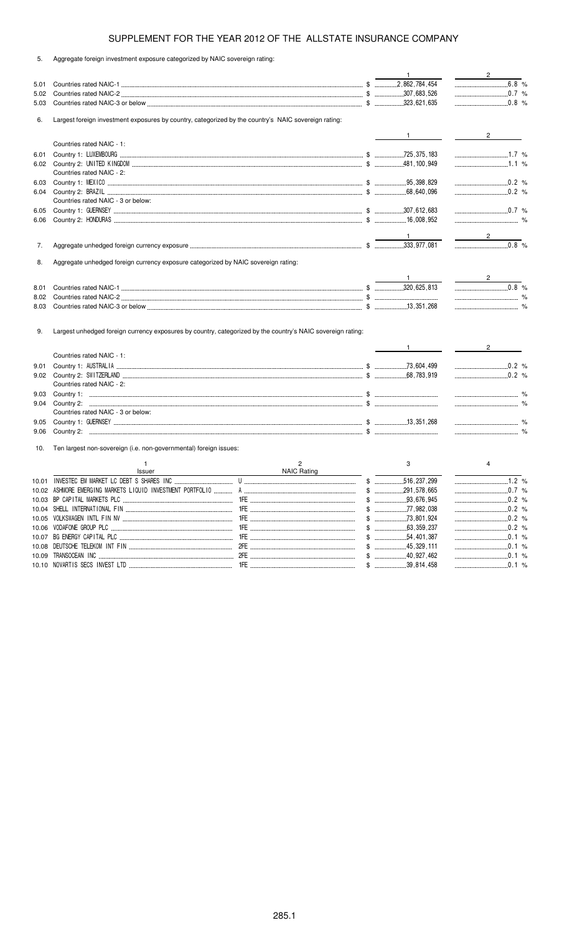5. Aggregate foreign investment exposure categorized by NAIC sovereign rating:

|       |                                                                                                             |                       | $\mathbf{1}$              | $\frac{2}{\sqrt{2}}$             |
|-------|-------------------------------------------------------------------------------------------------------------|-----------------------|---------------------------|----------------------------------|
| 5.01  |                                                                                                             |                       |                           | 6.8 %                            |
| 5.02  |                                                                                                             |                       |                           | $\frac{1}{2}$ 0.7 %              |
| 5.03  |                                                                                                             |                       |                           | 0.8 %                            |
| 6.    | Largest foreign investment exposures by country, categorized by the country's NAIC sovereign rating:        |                       |                           |                                  |
|       |                                                                                                             |                       | $\frac{1}{2}$             | $2 \left( \frac{1}{2} \right)$   |
|       | Countries rated NAIC - 1:                                                                                   |                       |                           |                                  |
| 6.01  |                                                                                                             |                       |                           |                                  |
| 6.02  |                                                                                                             |                       |                           | $1.1\%$                          |
|       | Countries rated NAIC - 2:                                                                                   |                       |                           |                                  |
| 6.03  |                                                                                                             |                       |                           | $\ldots$ 0.2 %                   |
| 6.04  |                                                                                                             |                       |                           | 0.2 %                            |
|       | Countries rated NAIC - 3 or below:                                                                          |                       |                           |                                  |
| 6.05  |                                                                                                             |                       |                           | $\ldots$ 0.7 %                   |
| 6.06  |                                                                                                             |                       |                           |                                  |
|       |                                                                                                             |                       | $\frac{1}{\sqrt{2}}$      | $\overline{\phantom{a}}$ 2       |
| 7.    |                                                                                                             |                       |                           | $\overline{\hspace{1.5cm}0.8}$ % |
|       |                                                                                                             |                       |                           |                                  |
| 8.    | Aggregate unhedged foreign currency exposure categorized by NAIC sovereign rating:                          |                       |                           |                                  |
|       |                                                                                                             |                       |                           |                                  |
| 8.01  |                                                                                                             |                       |                           |                                  |
| 8.02  |                                                                                                             |                       |                           |                                  |
| 8.03  |                                                                                                             |                       |                           | $\sim$ $\%$                      |
| 9.    | Largest unhedged foreign currency exposures by country, categorized by the country's NAIC sovereign rating: |                       |                           | $\frac{1}{2}$ $\frac{2}{2}$      |
|       | Countries rated NAIC - 1:                                                                                   |                       |                           |                                  |
| 9.01  |                                                                                                             |                       |                           | 0.2 %                            |
| 9.02  |                                                                                                             |                       |                           | $0.2$ %                          |
|       | Countries rated NAIC - 2:                                                                                   |                       |                           |                                  |
| 9.03  |                                                                                                             |                       |                           |                                  |
| 9.04  |                                                                                                             |                       |                           |                                  |
|       | Countries rated NAIC - 3 or below:                                                                          |                       |                           |                                  |
| 9.05  |                                                                                                             |                       |                           |                                  |
| 9.06  |                                                                                                             |                       |                           |                                  |
| 10.   | Ten largest non-sovereign (i.e. non-governmental) foreign issues:                                           |                       |                           |                                  |
|       |                                                                                                             |                       |                           |                                  |
|       | $\mathbf{1}$                                                                                                | $\mathbf{2}^{\prime}$ | 3                         | $\overline{4}$                   |
|       | Issuer                                                                                                      | NAIC Rating           |                           |                                  |
|       |                                                                                                             |                       | 516, 237, 299             |                                  |
|       |                                                                                                             |                       | $\$\quad$<br>.291,578,665 |                                  |
|       |                                                                                                             |                       |                           | $0.2\%$                          |
| 10.04 |                                                                                                             |                       |                           |                                  |
|       |                                                                                                             |                       |                           | 0.2 %                            |
| 10.06 | VODAFONE GROUP PLC                                                                                          |                       |                           | $0.2$ %                          |
| 10.07 |                                                                                                             |                       |                           | $\ldots$ 0.1 %                   |
|       |                                                                                                             |                       |                           | $\ldots$ 0.1 %                   |
| 10.09 |                                                                                                             |                       | $$$ 39,814,458            | $0.1 \%$<br>$0.1 \%$             |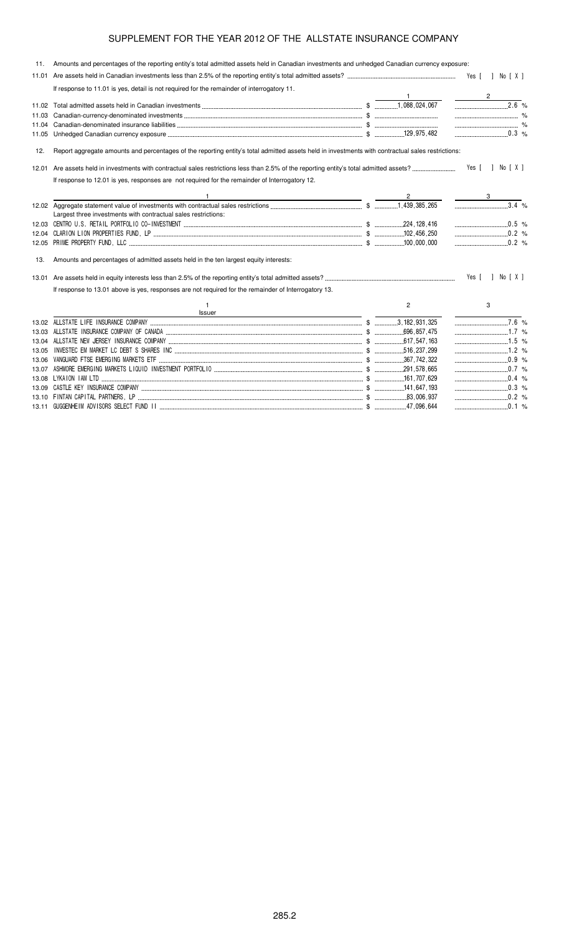| 11.   | Amounts and percentages of the reporting entity's total admitted assets held in Canadian investments and unhedged Canadian currency exposure:     |                |                    |
|-------|---------------------------------------------------------------------------------------------------------------------------------------------------|----------------|--------------------|
|       |                                                                                                                                                   |                |                    |
|       | If response to 11.01 is yes, detail is not required for the remainder of interrogatory 11.                                                        |                |                    |
|       |                                                                                                                                                   |                | $2^{\circ}$        |
|       |                                                                                                                                                   |                | $2.\overline{6}$ % |
|       |                                                                                                                                                   |                |                    |
|       |                                                                                                                                                   |                |                    |
| 11.05 |                                                                                                                                                   |                |                    |
| 12.   | Report aggregate amounts and percentages of the reporting entity's total admitted assets held in investments with contractual sales restrictions: |                |                    |
| 12.01 |                                                                                                                                                   |                |                    |
|       | If response to 12.01 is yes, responses are not required for the remainder of Interrogatory 12.                                                    |                |                    |
|       | <u> 1980 - Johann Stoff, deutscher Stoff, der Stoff, der Stoff, der Stoff, der Stoff, der Stoff, der Stoff, der S</u>                             |                |                    |
|       |                                                                                                                                                   |                | $3.4\%$            |
|       | Largest three investments with contractual sales restrictions:                                                                                    |                |                    |
|       |                                                                                                                                                   |                |                    |
|       |                                                                                                                                                   |                |                    |
|       |                                                                                                                                                   |                | $0.2\%$            |
| 13.   | Amounts and percentages of admitted assets held in the ten largest equity interests:                                                              |                |                    |
|       |                                                                                                                                                   |                | Yes [ ] No [ X ]   |
|       | If response to 13.01 above is yes, responses are not required for the remainder of Interrogatory 13.                                              |                |                    |
|       | 1.<br>Issuer                                                                                                                                      | $\overline{2}$ | 3                  |
|       |                                                                                                                                                   |                | $\overline{7.6\%}$ |
| 13.03 |                                                                                                                                                   |                | $1.7\%$            |
|       |                                                                                                                                                   |                |                    |
| 13.05 |                                                                                                                                                   |                |                    |
| 13.06 |                                                                                                                                                   |                | $\ldots$ 0.9 %     |
| 13.07 |                                                                                                                                                   |                |                    |
|       |                                                                                                                                                   |                | $0.4\%$            |
|       |                                                                                                                                                   |                |                    |
|       |                                                                                                                                                   |                |                    |
|       |                                                                                                                                                   |                | $\ldots$ 0.1 %     |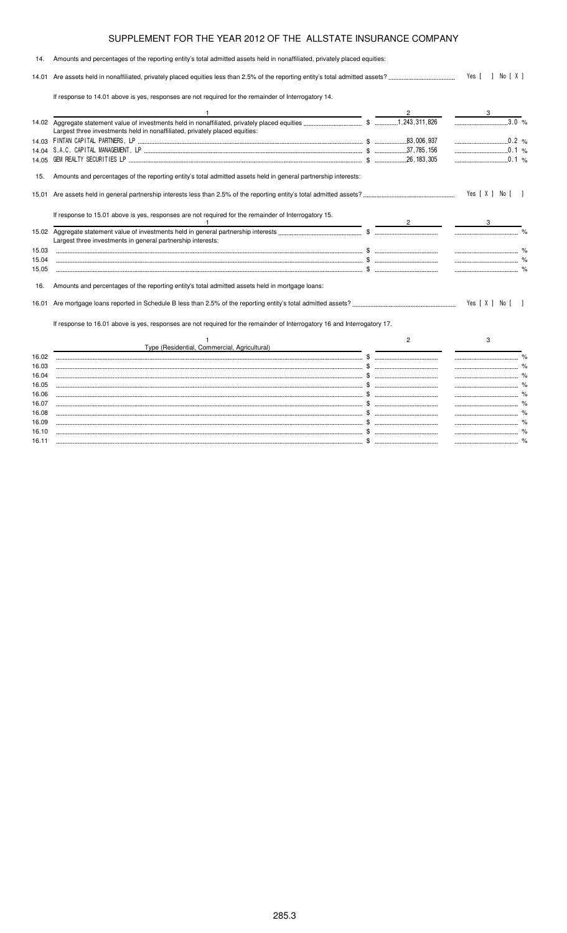| 14.   | Amounts and percentages of the reporting entity's total admitted assets held in nonaffiliated, privately placed equities: |                                |                  |                |  |
|-------|---------------------------------------------------------------------------------------------------------------------------|--------------------------------|------------------|----------------|--|
|       |                                                                                                                           |                                | Yes [ ] No [ X ] |                |  |
|       | If response to 14.01 above is yes, responses are not required for the remainder of Interrogatory 14.                      |                                |                  |                |  |
|       |                                                                                                                           |                                |                  |                |  |
|       | Largest three investments held in nonaffiliated, privately placed equities:                                               |                                |                  |                |  |
|       |                                                                                                                           |                                |                  |                |  |
|       |                                                                                                                           |                                |                  |                |  |
|       |                                                                                                                           |                                |                  |                |  |
| 15.   | Amounts and percentages of the reporting entity's total admitted assets held in general partnership interests:            |                                |                  |                |  |
| 15.01 |                                                                                                                           |                                | Yes [ X ] No [ ] |                |  |
|       | If response to 15.01 above is yes, responses are not required for the remainder of Interrogatory 15.                      | $2 \left( \frac{1}{2} \right)$ |                  |                |  |
|       | Largest three investments in general partnership interests:                                                               |                                |                  |                |  |
| 15.03 |                                                                                                                           |                                |                  |                |  |
| 15.04 |                                                                                                                           |                                |                  |                |  |
| 15.05 |                                                                                                                           |                                |                  |                |  |
| 16.   | Amounts and percentages of the reporting entity's total admitted assets held in mortgage loans:                           |                                |                  |                |  |
| 16.01 |                                                                                                                           |                                | Yes [ X ] No [   | $\blacksquare$ |  |
|       | If response to 16.01 above is yes, responses are not required for the remainder of Interrogatory 16 and Interrogatory 17. |                                |                  |                |  |
|       | Type (Residential, Commercial, Agricultural)                                                                              | 2                              | 3                |                |  |
| 16.02 |                                                                                                                           |                                |                  |                |  |
| 16.03 |                                                                                                                           |                                |                  |                |  |
| 16.04 |                                                                                                                           |                                |                  |                |  |
| 16.05 |                                                                                                                           |                                |                  |                |  |
| 16.06 |                                                                                                                           |                                |                  |                |  |
| 16.07 |                                                                                                                           |                                |                  |                |  |
| 16.08 |                                                                                                                           |                                |                  |                |  |
| 16.09 |                                                                                                                           |                                |                  |                |  |

16.10 \$ % 16.11 \$ %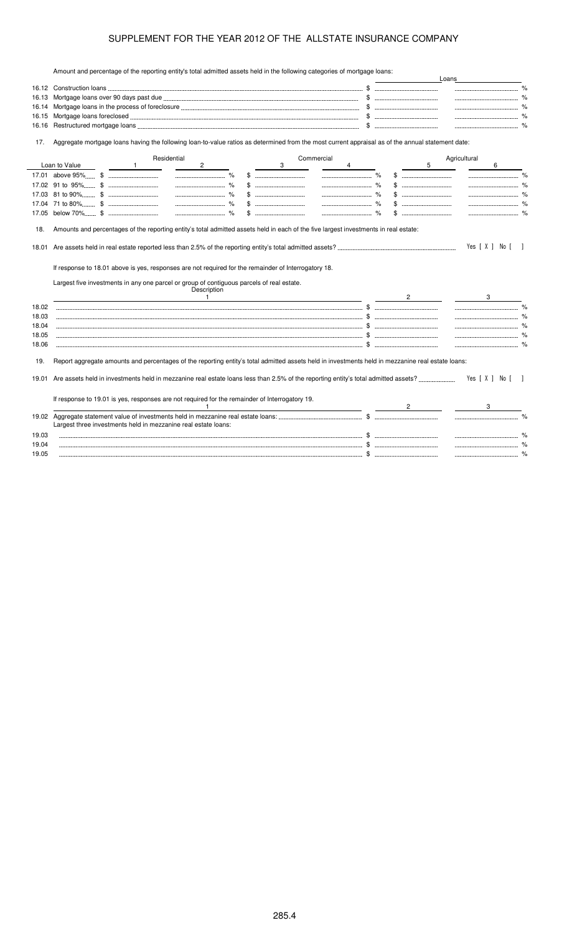Amount and percentage of the reporting entity's total admitted assets held in the following categories of mortgage loans:

|       | Amount and percentage of the reporting entity's total admitted assets held in the following categories of mongage loans.                                                                                                           |                                                                             |   | Loans        |                  |      |
|-------|------------------------------------------------------------------------------------------------------------------------------------------------------------------------------------------------------------------------------------|-----------------------------------------------------------------------------|---|--------------|------------------|------|
|       |                                                                                                                                                                                                                                    |                                                                             |   |              |                  |      |
| 16.13 |                                                                                                                                                                                                                                    | $\mathbb{S}$ . The contract of $\mathbb{S}$ is the contract of $\mathbb{S}$ |   |              |                  |      |
| 16.14 |                                                                                                                                                                                                                                    |                                                                             |   |              |                  |      |
| 16.15 |                                                                                                                                                                                                                                    |                                                                             |   |              |                  |      |
| 16.16 |                                                                                                                                                                                                                                    |                                                                             |   |              |                  |      |
| 17.   | Aggregate mortgage loans having the following loan-to-value ratios as determined from the most current appraisal as of the annual statement date:                                                                                  |                                                                             |   |              |                  |      |
|       | Residential<br>Commercial                                                                                                                                                                                                          |                                                                             |   | Agricultural |                  |      |
|       | Loan to Value<br>$\mathbf{1}$<br>$\mathbf{2}$<br>3<br>4                                                                                                                                                                            |                                                                             | 5 |              | 6                |      |
|       |                                                                                                                                                                                                                                    |                                                                             |   |              |                  |      |
|       |                                                                                                                                                                                                                                    |                                                                             |   |              |                  |      |
|       |                                                                                                                                                                                                                                    |                                                                             |   |              |                  |      |
|       |                                                                                                                                                                                                                                    |                                                                             |   |              |                  |      |
|       |                                                                                                                                                                                                                                    |                                                                             |   |              |                  |      |
| 18.   | Amounts and percentages of the reporting entity's total admitted assets held in each of the five largest investments in real estate:                                                                                               |                                                                             |   |              | Yes [ X ] No [ ] |      |
|       | If response to 18.01 above is yes, responses are not required for the remainder of Interrogatory 18.<br>Largest five investments in any one parcel or group of contiguous parcels of real estate.<br>Description<br>$\overline{1}$ | $\mathbf{2}$                                                                |   |              | 3                |      |
| 18.02 |                                                                                                                                                                                                                                    |                                                                             |   |              |                  | $\%$ |
| 18.03 |                                                                                                                                                                                                                                    |                                                                             |   |              |                  |      |
| 18.04 |                                                                                                                                                                                                                                    |                                                                             |   |              |                  |      |
| 18.05 |                                                                                                                                                                                                                                    |                                                                             |   |              |                  |      |
| 18.06 |                                                                                                                                                                                                                                    |                                                                             |   |              |                  |      |
| 19.   | Report aggregate amounts and percentages of the reporting entity's total admitted assets held in investments held in mezzanine real estate loans:                                                                                  |                                                                             |   |              |                  |      |
| 19.01 |                                                                                                                                                                                                                                    |                                                                             |   |              | Yes [X ] No [ ]  |      |
|       | If response to 19.01 is yes, responses are not required for the remainder of Interrogatory 19.                                                                                                                                     |                                                                             |   |              |                  |      |
|       | Largest three investments held in mezzanine real estate loans:                                                                                                                                                                     |                                                                             |   |              |                  |      |
| 19.03 |                                                                                                                                                                                                                                    |                                                                             |   |              |                  |      |
| 19.04 |                                                                                                                                                                                                                                    |                                                                             |   |              |                  |      |
| 19.05 |                                                                                                                                                                                                                                    |                                                                             |   |              |                  |      |